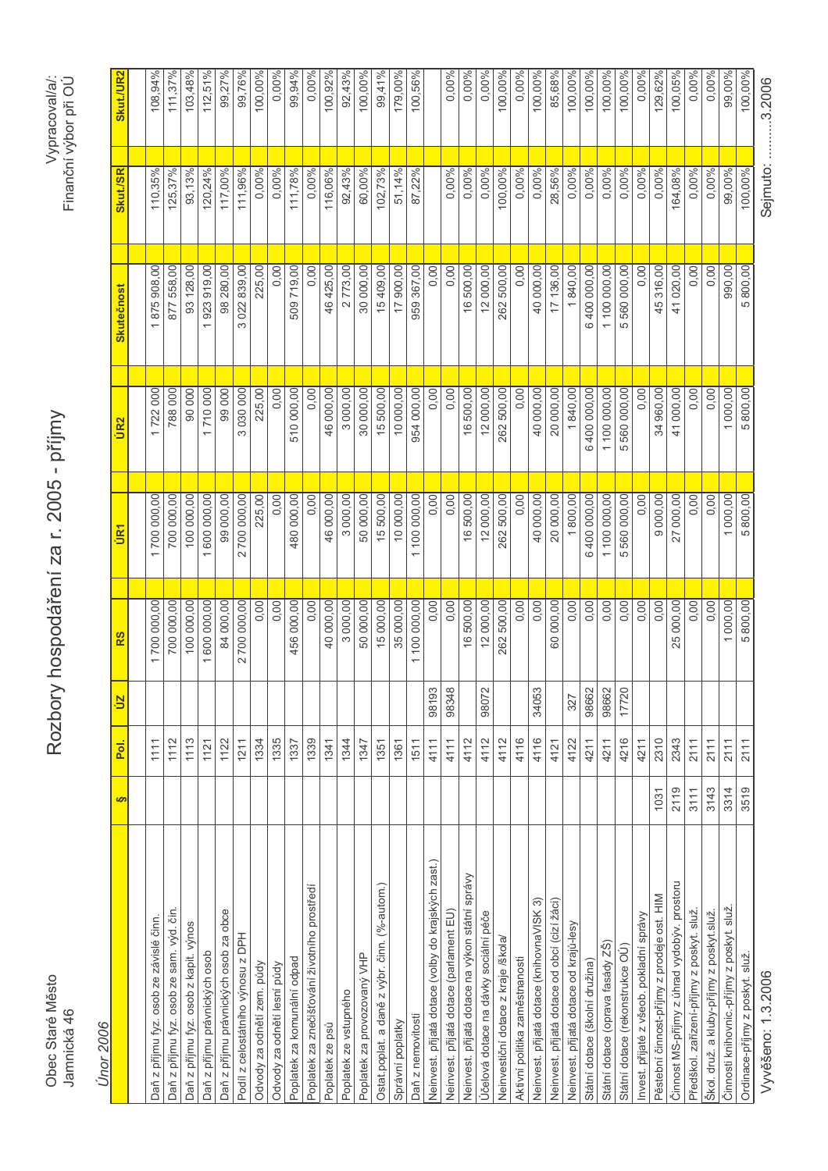| <b>Únor</b> 2006                                    |                 |       |                                        |                                 |              |                 |          |           |
|-----------------------------------------------------|-----------------|-------|----------------------------------------|---------------------------------|--------------|-----------------|----------|-----------|
|                                                     | <u>poi</u><br>S | ŪΖ    | RS                                     | UR1                             | UR2          | Skutečnost      | Skut./SR | Skut./UR2 |
|                                                     |                 |       |                                        |                                 |              |                 |          |           |
| Daň z příjmu fyz. osob ze závislé činn.             | 1111            |       | 1700 000,00                            | 700 000,00                      | 722000       | 1875908,00      | 110,35%  | 108,94%   |
| Daň z příjmu fyz. osob ze sam. výd. čin.            | 1112            |       | 700 000,00                             | 700 000,00                      | 788 000      | 877 558,00      | 125,37%  | 111,37%   |
| Daň z příjmu fyz. osob z kapit. výnos               | 1113            |       | 100 000,00                             | 100 000,00                      | 90000        | 93 128,00       | 93,13%   | 103,48%   |
| Daň z příjmu právnických osob                       | 1121            |       | 1 600 000,00                           | 1 600 000,00                    | 710 000      | 1923919,00      | 120,24%  | 112,51%   |
| Daň z příjmu právnických osob za obce               | 1122            |       | 84 000,00                              | 99 000,00                       | 99000        | 98 280,00       | 117,00%  | 99,27%    |
| Podíl z celostátního výnosu z DPH                   | 1211            |       | 2 700 000,00                           | 700 000,00<br>$\mathbf{\Omega}$ | 030 000<br>S | 022 839,00<br>3 | 111,96%  | 99,76%    |
| Odvody za odnětí zem. půdy                          | 1334            |       | 0,00                                   | 225,00                          | 225,00       | 225,00          | 0,00%    | 100,00%   |
| Odvody za odnětí lesní půdy                         | 1335            |       | 0,00                                   | 0,00                            | 0,00         | 0,00            | 0,00%    | 0,00%     |
| Poplatek za komunální odpad                         | 1337            |       | 456 000,00                             | 480 000,00                      | 510 000,00   | 509719,00       | 111,78%  | 99,94%    |
| Poplatek za znečišťování životního prostředí        | 1339            |       | 0,00                                   | 0,00                            | 0,00         | 0,00            | 0,00%    | 0,00%     |
| Poplatek ze psů                                     | 1341            |       | 40 000,00                              | 46 000,00                       | 46 000,00    | 46 425,00       | 116,06%  | 100,92%   |
| Poplatek ze vstupného                               | 1344            |       | 3 000,00                               | 3 000,00                        | 3000,00      | 2773,00         | 92,43%   | 92,43%    |
| Poplatek za provozovaný VHP                         | 1347            |       | 50 000,00                              | 50 000,00                       | 30 000,00    | 30 000,00       | 60,00%   | 100,00%   |
| Ostat poplat. a daně z výbr. činn. (%-autom.)       | 1351            |       | 15000,00                               | 15 500,00                       | 15500,00     | 15409,00        | 102,73%  | 99,41%    |
| Správní poplatky                                    | 1361            |       | 35 000,00                              | 10 000,00                       | 10 000,00    | 17 900,00       | 51,14%   | 179,00%   |
| Daň z nemovitosti                                   | 1511            |       | 100 000,00<br>$\overline{\phantom{0}}$ | 100 000,00<br>$\overline{ }$    | 954 000,00   | 959 367,00      | 87,22%   | 100,56%   |
| Neinvest. přijatá dotace (volby do krajských zast.) | 4111            | 98193 | 0,00                                   | 0,00                            | 0,00         | 0,00            |          |           |
| Neinvest. přijatá dotace (parlament EU)             | 4111            | 98348 | 0,00                                   | 0,00                            | 0,00         | 0,00            | 0,00%    | 0,00%     |
| Neinvest. přijatá dotace na výkon státní správy     | 4112            |       | 16500,00                               | 16 500,00                       | 16500,00     | 16 500,00       | 0,00%    | 0,00%     |
| Účelová dotace na dávky sociální péče               | 4112            | 98072 | 12 000,00                              | 12 000,00                       | 12 000,00    | 12 000,00       | 0,00%    | 0,00%     |
| Neinvestiční dotace z kraje /škola/                 | 4112            |       | 262 500,00                             | 262 500,00                      | 262 500,00   | 262 500,00      | 100,00%  | 100,00%   |
| Aktivní politika zaměstnanosti                      | 4116            |       | 0,00                                   | 0,00                            | 0,00         | 0,00            | 0,00%    | 0,00%     |
| Neinvest. přijatá dotace (knihovnaVISK 3)           | 4116            | 34053 | 0,00                                   | 40 000,00                       | 40 000,00    | 40 000,00       | 0,00%    | 100,00%   |
| Neinvest. přijatá dotace od obcí (cizí žáci)        | 4121            |       | 60 000,00                              | 20 000,00                       | 20 000,00    | 17 136,00       | 28,56%   | 85,68%    |
| Neinvest. přijatá dotace od krajů-lesy              | 4122            | 327   | 0,00                                   | 1800,00                         | 1840,00      | 1840,00         | 0,00%    | 100,00%   |
| Státní dotace (školní družina)                      | 4211            | 98662 | 0,00                                   | 6400 000,00                     | 6400 000,00  | 6400 000,00     | 0,00%    | 100,00%   |
| Státní dotace (oprava fasády ZŠ)                    | 4211            | 98662 | 0,00                                   | 1100000,00                      | 100 000,00   | 1100 000,00     | 0,00%    | 100,00%   |
| Státní dotace (rekonstrukce OÚ)                     | 4216            | 17720 | 0,00                                   | 5560000,00                      | 5 560 000,00 | 5 560 000,00    | 0,00%    | 100,00%   |
| Invest. přijaté z všeob. pokladní správy            | 4211            |       | 0,00                                   | 0,00                            | 0,00         | 0,00            | 0,00%    | 0,00%     |
| Pěstební činnost-příjmy z prodeje ost. HIM          | 2310<br>1031    |       | 0,00                                   | 9 000,00                        | 34 960,00    | 45 316,00       | 0,00%    | 129,62%   |
| Činnost MS-příjmy z úhrad vydobýv. prostoru         | 2343<br>2119    |       | 25 000,00                              | 27 000,00                       | 41 000,00    | 41 020,00       | 164,08%  | 100,05%   |
| Předškol. zařízení-přijmy z poskyt. služ            | 2111<br>3111    |       | 0,00                                   | 0,00                            | 0,00         | 0,00            | 0,00%    | 0,00%     |
| Škol. druž. a kluby-příjmy z poskyt.služ            | 2111<br>3143    |       | 0,00                                   | 0,00                            | 0,00         | 0,00            | 0,00%    | 0,00%     |
| Činnosti knihovnic.-příjmy z poskyt. služ           | 2111<br>3314    |       | 1 000,00                               | 1 000,00                        | 1000,00      | 990,00          | 99,00%   | 99,00%    |
| Ordinace-příjmy z poskyt. služ                      | 2111<br>3519    |       | 5800,00                                | 5 800,00                        | 5800,00      | 5800,00         | 100,00%  | 100,00%   |
| Vyvěšeno: 1.3.2006                                  |                 |       |                                        |                                 |              |                 | Sejmuto: | .3.2006   |

Rozbory hospodáření za r. 2005 - příjmy

Obec Staré Město<br>Jamnická 46

Vypracoval/a/:<br>Finanční výbor při OÚ